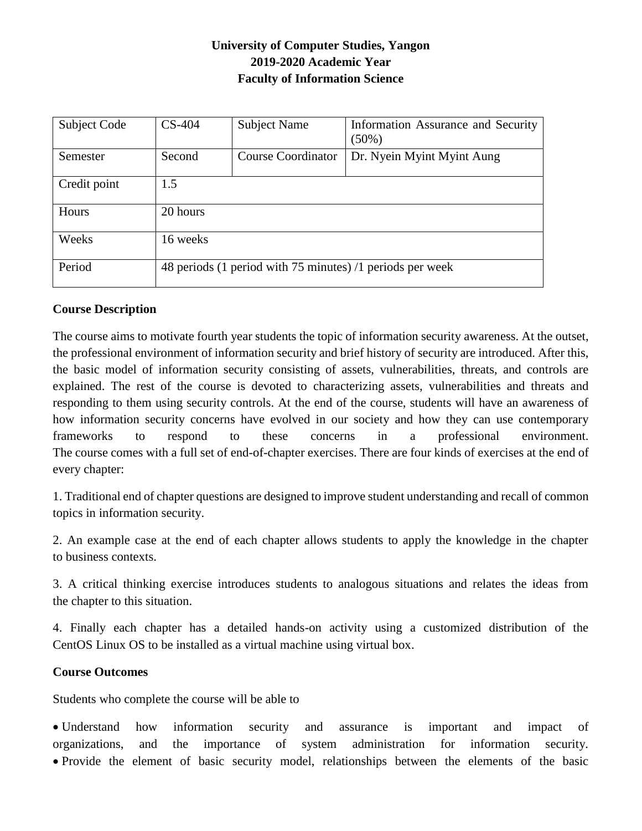# **University of Computer Studies, Yangon 2019-2020 Academic Year Faculty of Information Science**

| Subject Code | $CS-404$                                                  | <b>Subject Name</b>       | Information Assurance and Security<br>$(50\%)$ |  |
|--------------|-----------------------------------------------------------|---------------------------|------------------------------------------------|--|
| Semester     | Second                                                    | <b>Course Coordinator</b> | Dr. Nyein Myint Myint Aung                     |  |
| Credit point | 1.5                                                       |                           |                                                |  |
| Hours        | 20 hours                                                  |                           |                                                |  |
| Weeks        | 16 weeks                                                  |                           |                                                |  |
| Period       | 48 periods (1 period with 75 minutes) /1 periods per week |                           |                                                |  |

### **Course Description**

The course aims to motivate fourth year students the topic of information security awareness. At the outset, the professional environment of information security and brief history of security are introduced. After this, the basic model of information security consisting of assets, vulnerabilities, threats, and controls are explained. The rest of the course is devoted to characterizing assets, vulnerabilities and threats and responding to them using security controls. At the end of the course, students will have an awareness of how information security concerns have evolved in our society and how they can use contemporary frameworks to respond to these concerns in a professional environment. The course comes with a full set of end-of-chapter exercises. There are four kinds of exercises at the end of every chapter:

1. Traditional end of chapter questions are designed to improve student understanding and recall of common topics in information security.

2. An example case at the end of each chapter allows students to apply the knowledge in the chapter to business contexts.

3. A critical thinking exercise introduces students to analogous situations and relates the ideas from the chapter to this situation.

4. Finally each chapter has a detailed hands-on activity using a customized distribution of the CentOS Linux OS to be installed as a virtual machine using virtual box.

#### **Course Outcomes**

Students who complete the course will be able to

 Understand how information security and assurance is important and impact of organizations, and the importance of system administration for information security. Provide the element of basic security model, relationships between the elements of the basic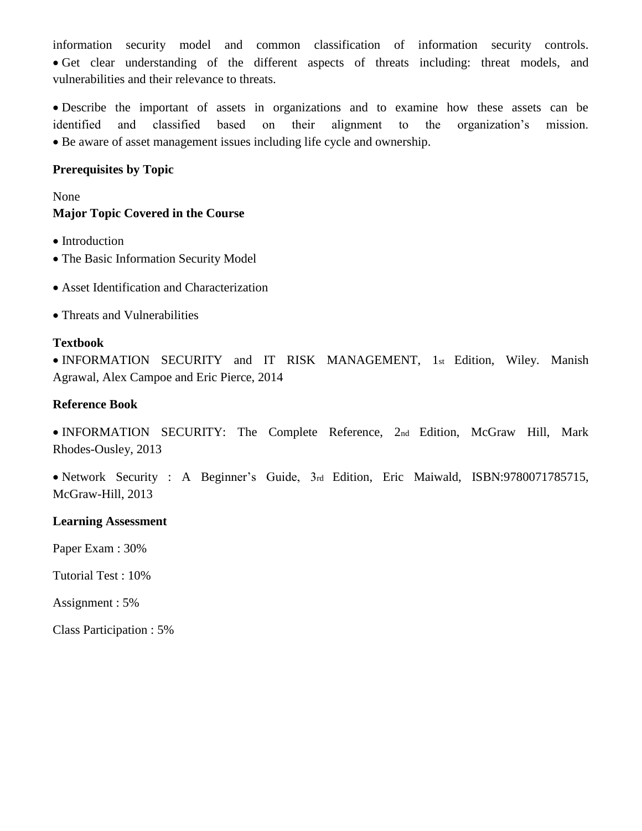information security model and common classification of information security controls. Get clear understanding of the different aspects of threats including: threat models, and vulnerabilities and their relevance to threats.

 Describe the important of assets in organizations and to examine how these assets can be identified and classified based on their alignment to the organization's mission. Be aware of asset management issues including life cycle and ownership.

### **Prerequisites by Topic**

None **Major Topic Covered in the Course**

- Introduction
- The Basic Information Security Model
- Asset Identification and Characterization
- Threats and Vulnerabilities

### **Textbook**

 INFORMATION SECURITY and IT RISK MANAGEMENT, 1st Edition, Wiley. Manish Agrawal, Alex Campoe and Eric Pierce, 2014

### **Reference Book**

 INFORMATION SECURITY: The Complete Reference, 2nd Edition, McGraw Hill, Mark Rhodes-Ousley, 2013

 Network Security : A Beginner's Guide, 3rd Edition, Eric Maiwald, ISBN:9780071785715, McGraw-Hill, 2013

#### **Learning Assessment**

Paper Exam : 30%

Tutorial Test : 10%

Assignment : 5%

Class Participation : 5%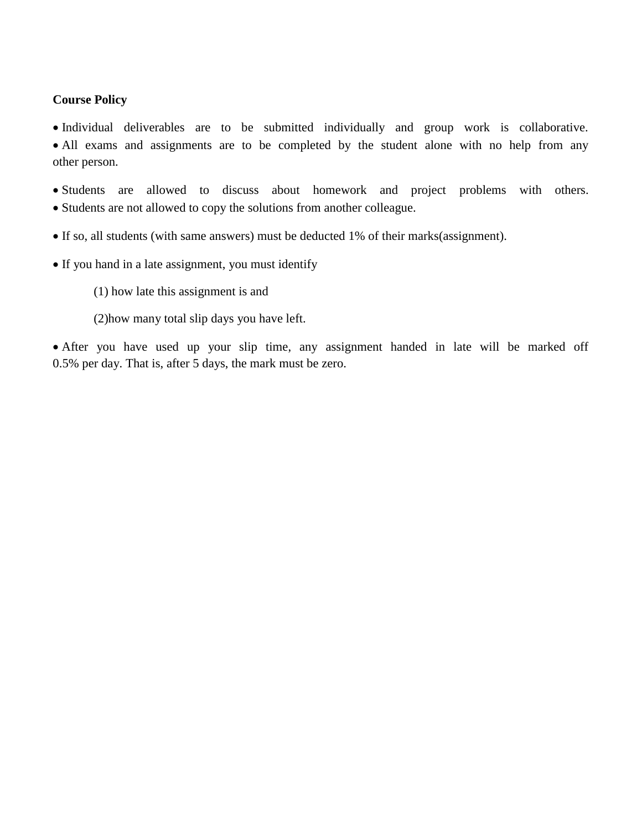#### **Course Policy**

 Individual deliverables are to be submitted individually and group work is collaborative. • All exams and assignments are to be completed by the student alone with no help from any other person.

 Students are allowed to discuss about homework and project problems with others. • Students are not allowed to copy the solutions from another colleague.

- If so, all students (with same answers) must be deducted 1% of their marks(assignment).
- If you hand in a late assignment, you must identify
	- (1) how late this assignment is and
	- (2)how many total slip days you have left.

 After you have used up your slip time, any assignment handed in late will be marked off 0.5% per day. That is, after 5 days, the mark must be zero.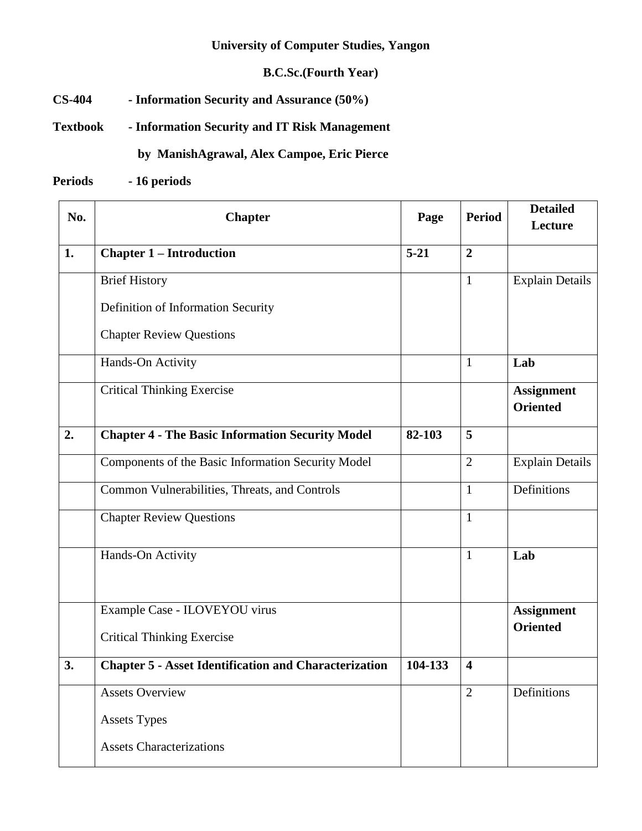## **University of Computer Studies, Yangon**

# **B.C.Sc.(Fourth Year)**

**CS-404 - Information Security and Assurance (50%)** 

**Textbook - Information Security and IT Risk Management**

# **by ManishAgrawal, Alex Campoe, Eric Pierce**

**Periods - 16 periods**

| No. | <b>Chapter</b>                                               | Page     | <b>Period</b>           | <b>Detailed</b><br>Lecture           |
|-----|--------------------------------------------------------------|----------|-------------------------|--------------------------------------|
| 1.  | <b>Chapter 1 – Introduction</b>                              | $5 - 21$ | $\overline{2}$          |                                      |
|     | <b>Brief History</b>                                         |          | $\mathbf{1}$            | <b>Explain Details</b>               |
|     | Definition of Information Security                           |          |                         |                                      |
|     | <b>Chapter Review Questions</b>                              |          |                         |                                      |
|     | Hands-On Activity                                            |          | $\mathbf{1}$            | Lab                                  |
|     | <b>Critical Thinking Exercise</b>                            |          |                         | <b>Assignment</b><br><b>Oriented</b> |
| 2.  | <b>Chapter 4 - The Basic Information Security Model</b>      | 82-103   | 5                       |                                      |
|     | Components of the Basic Information Security Model           |          | $\overline{2}$          | <b>Explain Details</b>               |
|     | Common Vulnerabilities, Threats, and Controls                |          | $\mathbf{1}$            | Definitions                          |
|     | <b>Chapter Review Questions</b>                              |          | $\mathbf{1}$            |                                      |
|     | Hands-On Activity                                            |          | $\mathbf{1}$            | Lab                                  |
|     | Example Case - ILOVEYOU virus                                |          |                         | <b>Assignment</b>                    |
|     | <b>Critical Thinking Exercise</b>                            |          |                         | <b>Oriented</b>                      |
| 3.  | <b>Chapter 5 - Asset Identification and Characterization</b> | 104-133  | $\overline{\mathbf{4}}$ |                                      |
|     | Assets Overview                                              |          | $\overline{2}$          | Definitions                          |
|     | <b>Assets Types</b>                                          |          |                         |                                      |
|     | <b>Assets Characterizations</b>                              |          |                         |                                      |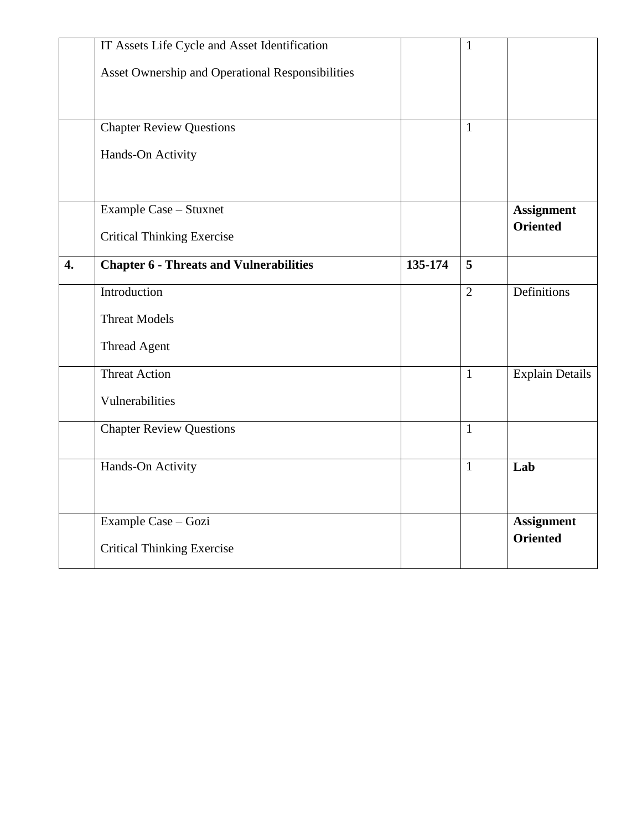|                  | IT Assets Life Cycle and Asset Identification    |         | $\mathbf{1}$   |                        |
|------------------|--------------------------------------------------|---------|----------------|------------------------|
|                  | Asset Ownership and Operational Responsibilities |         |                |                        |
|                  |                                                  |         |                |                        |
|                  |                                                  |         |                |                        |
|                  | <b>Chapter Review Questions</b>                  |         | 1              |                        |
|                  | Hands-On Activity                                |         |                |                        |
|                  |                                                  |         |                |                        |
|                  | Example Case - Stuxnet                           |         |                | <b>Assignment</b>      |
|                  | <b>Critical Thinking Exercise</b>                |         |                | <b>Oriented</b>        |
| $\overline{4}$ . | <b>Chapter 6 - Threats and Vulnerabilities</b>   | 135-174 | 5              |                        |
|                  | Introduction                                     |         | $\overline{2}$ | Definitions            |
|                  | <b>Threat Models</b>                             |         |                |                        |
|                  | <b>Thread Agent</b>                              |         |                |                        |
|                  | <b>Threat Action</b>                             |         | $\mathbf{1}$   | <b>Explain Details</b> |
|                  | Vulnerabilities                                  |         |                |                        |
|                  | <b>Chapter Review Questions</b>                  |         | $\mathbf{1}$   |                        |
|                  | Hands-On Activity                                |         | $\mathbf{1}$   | Lab                    |
|                  |                                                  |         |                |                        |
|                  | Example Case - Gozi                              |         |                | <b>Assignment</b>      |
|                  | <b>Critical Thinking Exercise</b>                |         |                | <b>Oriented</b>        |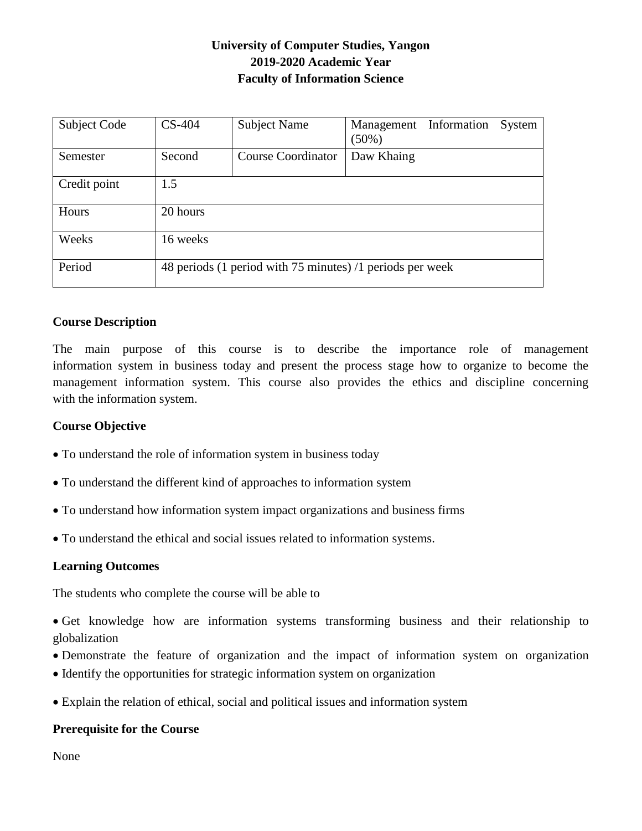# **University of Computer Studies, Yangon 2019-2020 Academic Year Faculty of Information Science**

| <b>Subject Code</b> | $CS-404$                                                  | <b>Subject Name</b>       | Management<br>$(50\%)$ | Information | System |
|---------------------|-----------------------------------------------------------|---------------------------|------------------------|-------------|--------|
| Semester            | Second                                                    | <b>Course Coordinator</b> | Daw Khaing             |             |        |
| Credit point        | 1.5                                                       |                           |                        |             |        |
| Hours               | 20 hours                                                  |                           |                        |             |        |
| Weeks               | 16 weeks                                                  |                           |                        |             |        |
| Period              | 48 periods (1 period with 75 minutes) /1 periods per week |                           |                        |             |        |

#### **Course Description**

The main purpose of this course is to describe the importance role of management information system in business today and present the process stage how to organize to become the management information system. This course also provides the ethics and discipline concerning with the information system.

#### **Course Objective**

- To understand the role of information system in business today
- To understand the different kind of approaches to information system
- To understand how information system impact organizations and business firms
- To understand the ethical and social issues related to information systems.

#### **Learning Outcomes**

The students who complete the course will be able to

 Get knowledge how are information systems transforming business and their relationship to globalization

- Demonstrate the feature of organization and the impact of information system on organization
- Identify the opportunities for strategic information system on organization
- Explain the relation of ethical, social and political issues and information system

#### **Prerequisite for the Course**

None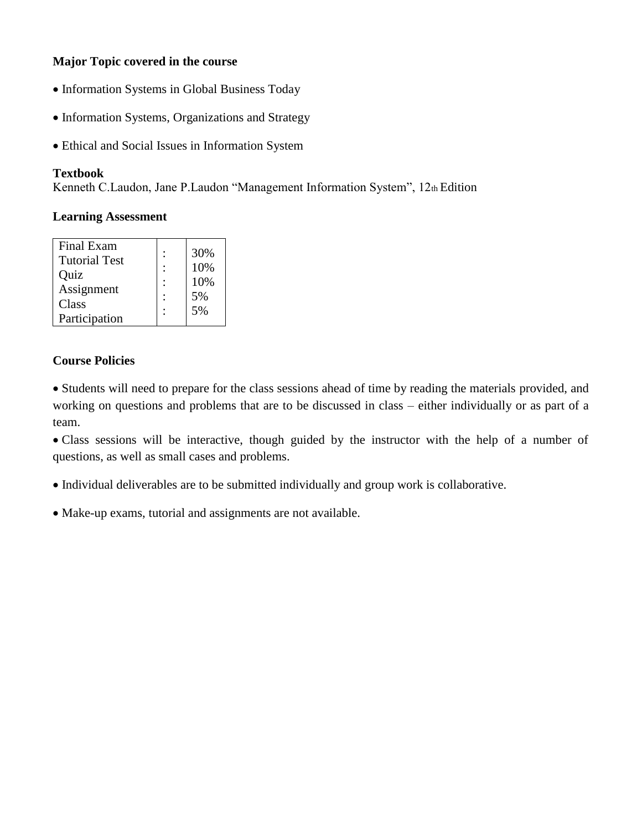## **Major Topic covered in the course**

- Information Systems in Global Business Today
- Information Systems, Organizations and Strategy
- Ethical and Social Issues in Information System

## **Textbook**

Kenneth C.Laudon, Jane P.Laudon "Management Information System", 12th Edition

## **Learning Assessment**

| Quiz          | 10% |
|---------------|-----|
| Assignment    | 10% |
| Class         | 5%  |
| Participation | 5%  |

## **Course Policies**

 Students will need to prepare for the class sessions ahead of time by reading the materials provided, and working on questions and problems that are to be discussed in class – either individually or as part of a team.

 Class sessions will be interactive, though guided by the instructor with the help of a number of questions, as well as small cases and problems.

Individual deliverables are to be submitted individually and group work is collaborative.

Make-up exams, tutorial and assignments are not available.